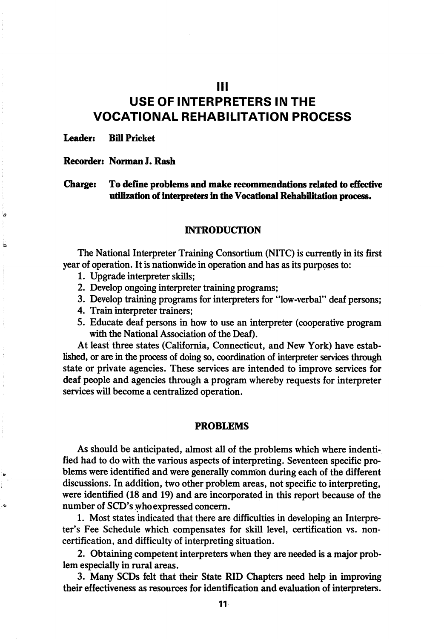## Ill

# USE OF INTERPRETERS IN THE VOCATIONAL REHABILITATION PROCESS

Leader: Bill Pricket

k

ł,

#### Recorder: Norman J. Rash

Charge: To define problems and make recommendations related to effective utilization of interpreters in the Vocational Rehabilitation process.

#### **INTRODUCTION**

The National Interpreter Training Consortium (NITC) is currently in its first year of operation. It is nationwide in operation and has as its purposes to:

- 1. Upgrade interpreter skills;
- 2. Develop ongoing interpreter training programs;
- 3. Develop training programs for interpreters for "low-verbal" deaf persons;
- 4. Train interpreter trainers;
- 5. Educate deaf persons in how to use an interpreter (cooperative program with the National Association of the Deaf).

At least three states (California, Connecticut, and New York) have estab lished, or are in the process of doing so, coordination of interpreter services through state or private agencies. These services are intended to improve services for deaf people and agencies through a program whereby requests for interpreter services will become a centralized operation.

#### PROBLEMS

As should be anticipated, almost all of the problems which where indentified had to do with the various aspects of interpreting. Seventeen specific pro blems were identified and were generally common during each of the different discussions. In addition, two other problem areas, not specific to interpreting, were identified (18 and 19) and are incorporated in this report because of the number of SCD's who expressed concern.

1. Most states indicated that there are difficulties in developing an Interpre ter's Fee Schedule which compensates for skill level, certification vs. noncertification, and difficulty of interpreting situation.

2. Obtaining competent interpreters when they are needed is a major prob lem especially in rural areas.

3. Many SCDs felt that their State RID Giapters need help in improving their effectiveness as resources for identification and evaluation of interpreters.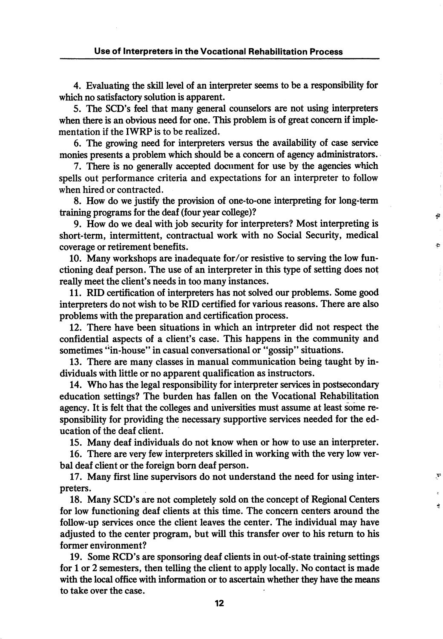4. Evaluating the skill level of an interpreter seems to be a responsibility for which no satisfactory solution is apparent.

5. The SCD's feel that many general counselors are not using interpreters when there is an obvious need for one. This problem is of great concern if implementation if the IWRP is to be realized.

6. The growing need for interpreters versus the availability of case service monies presents a problem which should be a concern of agency administrators.

7. There is no generally accepted document for use by the agencies which spells out performance criteria and expectations for an interpreter to follow when hired or contracted.

8. How do we justify the provision of one-to-one interpreting for long-term training programs for the deaf (four year college)?

Ð

 $\mathbf{Y}^3$ 

Ñ

9. How do we deal with job security for interpreters? Most interpreting is short-term, intermittent, contractual work with no Social Security, medical coverage or retirement benefits.

10. Many workshops are inadequate for/or resistive to serving the low fun ctioning deaf person. The use of an interpreter in this type of setting does not really meet the client's needs in too many instances.

11. RID certification of interpreters has not solved our problems. Some good interpreters do not wish to be RID certified for various reasons. There are also problems with the preparation and certification process.

12. There have been situations in which an intrpreter did not respect the confidential aspects of a client's case. This happens in the community and sometimes "in-house" in casual conversational or "gossip" situations.

13. There are many classes in manual communication being taught by in dividuals with little or no apparent qualification as instructors.

14. Who has the legal responsibility for interpreter services in postsecondary education settings? The burden has fallen on the Vocational Rehabilitation agency. It is felt that the colleges and universities must assume at least some re sponsibility for providing the necessary supportive services needed for the ed ucation of the deaf client.

15. Many deaf individuals do not know when or how to use an interpreter.

16. There are very few interpreters skilled in working with the very low ver bal deaf client or the foreign bom deaf person.

17. Many first line supervisors do not understand the need for using inter preters.

18. Many SCD's are not completely sold on the concept of Regional Centers for low functioning deaf clients at this time. The concern centers around the follow-up services once the client leaves the center. The individual may have adjusted to the center program, but will this transfer over to his retum to his former environment?

19. Some RCD's are sponsoring deaf clients in out-of-state training settings for 1 or 2 semesters, then telling the client to apply locally. No contact is made with the local office with information or to ascertain whether they have the means to take over the case.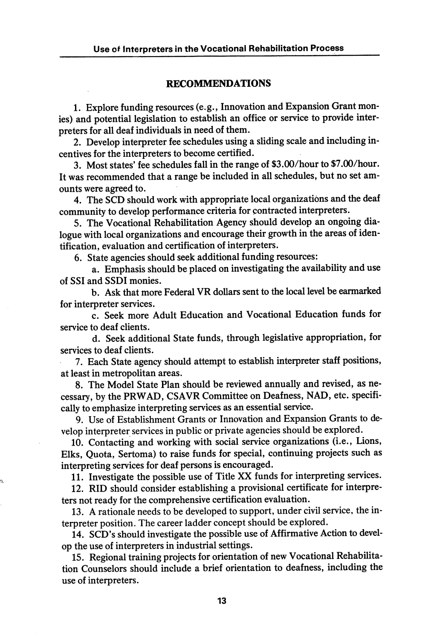#### RECOMMENDATIONS

1. Explore funding resources (e.g., Innovation and Expansion Grant mon ies) and potential legislation to establish an office or service to provide inter preters for all deaf individuals in need of them.

2. Develop interpreter fee schedules using a sliding scale and including in centives for the interpreters to become certified.

3. Most states' fee schedules fall in the range of \$3.00/hour to \$7.00/hour. It was recommended that a range be included in all schedules, but no set am ounts were agreed to.

4. The SCD should work with appropriate local organizations and the deaf community to develop performance criteria for contracted interpreters.

5. The Vocational Rehabilitation Agency should develop an ongoing dia logue with local organizations and encourage their growth in the areas of iden tification, evaluation and certification of interpreters.

6. State agencies should seek additional funding resources:

a. Emphasis should be placed on investigating the availability and use of SSI and SSDI monies.

b. Ask that more Federal VR dollars sent to the local level be earmarked for interpreter services.

c. Seek more Adult Education and Vocational Education funds for service to deaf clients.

d. Seek additional State funds, through legislative appropriation, for services to deaf clients.

7. Each State agency should attempt to establish interpreter staff positions, at least in metropolitan areas.

8. The Model State Plan should be reviewed annually and revised, as ne cessary, by the PRWAD, CSAVR Committee on Deafness, NAD, etc. specifi cally to emphasize interpreting services as an essential service.

9. Use of Establishment Grants or Innovation and Expansion Grants to de velop interpreter services in public or private agencies should be explored.

10. Contacting and working with social service organizations (i.e.. Lions, Elks, Quota, Sertoma) to raise funds for special, continuing projects such as interpreting services for deaf persons is encouraged.

11. Investigate the possible use of Title XX funds for interpreting services.

12. RID should consider establishing a provisional certificate for interpre ters not ready for the comprehensive certification evaluation.

13. A rationale needs to be developed to support, under civil service, the in terpreter position. The career ladder concept should be explored.

14. SCD's should investigate the possible use of Affirmative Action to devel op the use of interpreters in industrial settings.

15. Regional training projects for orientation of new Vocational Rehabilita tion Counselors should include a brief orientation to deafness, including the use of interpreters.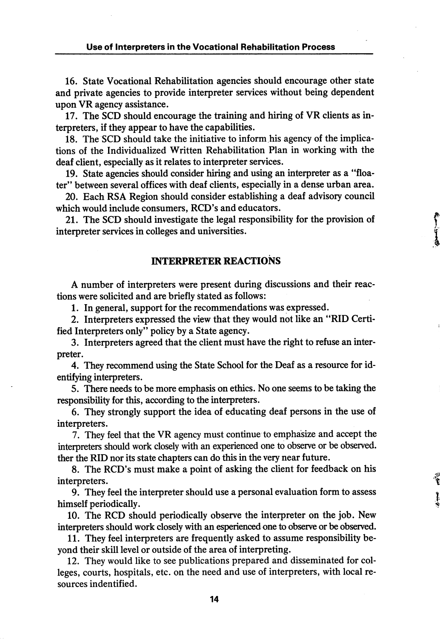16. State Vocational Rehabilitation agencies should encourage other state and private agencies to provide interpreter services without being dependent upon VR agency assistance.

17. The SCD should encourage the training and hiring of VR clients as in terpreters, if they appear to have the capabilities.

18. The SCD should take the initiative to inform his agency of the implica tions of the Individualized Written Rehabilitation Plan in working with the deaf client, especially as it relates to interpreter services.

19. State agencies should consider hiring and using an interpreter as a "floa ter" between several offices with deaf clients, especially in a dense urban area.

20. Each RSA Region should consider establishing a deaf advisory council which would include consumers, RCD's and educators.

21. The SCD should investigate the legal responsibility for the provision of interpreter services in colleges and universities.

### INTERPRETER REACTIONS

A number of interpreters were present during discussions and their reac tions were solicited and are briefly stated as follows:

1. In general, support for the recommendations was expressed.

2. Interpreters expressed the view that they would not like an "RID Certi fied Interpreters only" policy by a State agency.

3. Interpreters agreed that the client must have the right to refuse an inter preter.

4. They recommend using the State School for the Deaf as a resource for id entifying interpreters.

5. There needs to be more emphasis on ethics. No one seems to be taking the responsibility for this, according to the interpreters.

6. They strongly support the idea of educating deaf persons in the use of interpreters.

7. They feel that the VR agency must continue to emphasize and accept the interpreters should work closely with an experienced one to observe or be observed, ther the RID nor its state chapters can do this in the very near future.

8. The RCD's must make a point of asking the client for feedback on his interpreters.

9. They feel the interpreter should use a personal evaluation form to assess himself periodically.

10. The RCD should periodically observe the interpreter on the job. New interpreters should work closely with an esperienced one to observe or be observed.

11. They feel interpreters are frequently asked to assume responsibility be yond their skill level or outside of the area of interpreting.

12. They would like to see publications prepared and disseminated for col leges, courts, hospitals, etc. on the need and use of interpreters, with local re sources indentified.